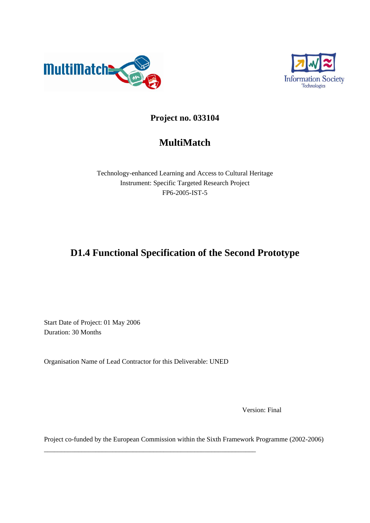



## **Project no. 033104**

# **MultiMatch**

Technology-enhanced Learning and Access to Cultural Heritage Instrument: Specific Targeted Research Project FP6-2005-IST-5

# **D1.4 Functional Specification of the Second Prototype**

Start Date of Project: 01 May 2006 Duration: 30 Months

Organisation Name of Lead Contractor for this Deliverable: UNED

\_\_\_\_\_\_\_\_\_\_\_\_\_\_\_\_\_\_\_\_\_\_\_\_\_\_\_\_\_\_\_\_\_\_\_\_\_\_\_\_\_\_\_\_\_\_\_\_\_\_\_\_\_\_\_\_\_\_\_\_\_\_

Version: Final

Project co-funded by the European Commission within the Sixth Framework Programme (2002-2006)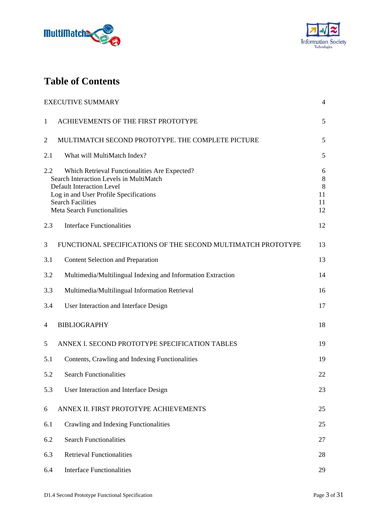



# **Table of Contents**

|                | <b>EXECUTIVE SUMMARY</b>                                                                                                                                                                                                                 | 4                                 |
|----------------|------------------------------------------------------------------------------------------------------------------------------------------------------------------------------------------------------------------------------------------|-----------------------------------|
| $\mathbf{1}$   | ACHIEVEMENTS OF THE FIRST PROTOTYPE                                                                                                                                                                                                      | 5                                 |
| $\overline{2}$ | MULTIMATCH SECOND PROTOTYPE. THE COMPLETE PICTURE                                                                                                                                                                                        | 5                                 |
| 2.1            | What will MultiMatch Index?                                                                                                                                                                                                              | 5                                 |
| 2.2            | Which Retrieval Functionalities Are Expected?<br>Search Interaction Levels in MultiMatch<br><b>Default Interaction Level</b><br>Log in and User Profile Specifications<br><b>Search Facilities</b><br><b>Meta Search Functionalities</b> | 6<br>$8\,$<br>8<br>11<br>11<br>12 |
| 2.3            | <b>Interface Functionalities</b>                                                                                                                                                                                                         | 12                                |
| 3              | FUNCTIONAL SPECIFICATIONS OF THE SECOND MULTIMATCH PROTOTYPE                                                                                                                                                                             | 13                                |
| 3.1            | <b>Content Selection and Preparation</b>                                                                                                                                                                                                 | 13                                |
| 3.2            | Multimedia/Multilingual Indexing and Information Extraction                                                                                                                                                                              | 14                                |
| 3.3            | Multimedia/Multilingual Information Retrieval                                                                                                                                                                                            | 16                                |
| 3.4            | User Interaction and Interface Design                                                                                                                                                                                                    | 17                                |
| 4              | <b>BIBLIOGRAPHY</b>                                                                                                                                                                                                                      | 18                                |
| 5              | ANNEX I. SECOND PROTOTYPE SPECIFICATION TABLES                                                                                                                                                                                           | 19                                |
| 5.1            | Contents, Crawling and Indexing Functionalities                                                                                                                                                                                          | 19                                |
| 5.2            | <b>Search Functionalities</b>                                                                                                                                                                                                            | 22                                |
| 5.3            | User Interaction and Interface Design                                                                                                                                                                                                    | 23                                |
| 6              | ANNEX II. FIRST PROTOTYPE ACHIEVEMENTS                                                                                                                                                                                                   | 25                                |
| 6.1            | Crawling and Indexing Functionalities                                                                                                                                                                                                    | 25                                |
| 6.2            | <b>Search Functionalities</b>                                                                                                                                                                                                            | 27                                |
| 6.3            | <b>Retrieval Functionalities</b>                                                                                                                                                                                                         | 28                                |
| 6.4            | <b>Interface Functionalities</b>                                                                                                                                                                                                         | 29                                |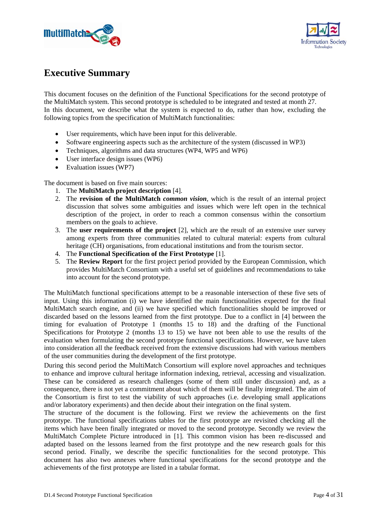



## **Executive Summary**

This document focuses on the definition of the Functional Specifications for the second prototype of the MultiMatch system. This second prototype is scheduled to be integrated and tested at month 27. In this document, we describe what the system is expected to do, rather than how, excluding the following topics from the specification of MultiMatch functionalities:

- User requirements, which have been input for this deliverable.
- Software engineering aspects such as the architecture of the system (discussed in WP3)
- Techniques, algorithms and data structures (WP4, WP5 and WP6)
- User interface design issues (WP6)
- Evaluation issues (WP7)

The document is based on five main sources:

- 1. The **MultiMatch project description** [4].
- 2. The **revision of the MultiMatch** *common vision*, which is the result of an internal project discussion that solves some ambiguities and issues which were left open in the technical description of the project, in order to reach a common consensus within the consortium members on the goals to achieve.
- 3. The **user requirements of the project** [2], which are the result of an extensive user survey among experts from three communities related to cultural material: experts from cultural heritage (CH) organisations, from educational institutions and from the tourism sector.
- 4. The **Functional Specification of the First Prototype** [1].
- 5. The **Review Report** for the first project period provided by the European Commission, which provides MultiMatch Consortium with a useful set of guidelines and recommendations to take into account for the second prototype.

The MultiMatch functional specifications attempt to be a reasonable intersection of these five sets of input. Using this information (i) we have identified the main functionalities expected for the final MultiMatch search engine, and (ii) we have specified which functionalities should be improved or discarded based on the lessons learned from the first prototype. Due to a conflict in [4] between the timing for evaluation of Prototype 1 (months  $15$  to  $18$ ) and the drafting of the Functional Specifications for Prototype 2 (months 13 to 15) we have not been able to use the results of the evaluation when formulating the second prototype functional specifications. However, we have taken into consideration all the feedback received from the extensive discussions had with various members of the user communities during the development of the first prototype.

During this second period the MultiMatch Consortium will explore novel approaches and techniques to enhance and improve cultural heritage information indexing, retrieval, accessing and visualization. These can be considered as research challenges (some of them still under discussion) and, as a consequence, there is not yet a commitment about which of them will be finally integrated. The aim of the Consortium is first to test the viability of such approaches (i.e. developing small applications and/or laboratory experiments) and then decide about their integration on the final system.

The structure of the document is the following. First we review the achievements on the first prototype. The functional specifications tables for the first prototype are revisited checking all the items which have been finally integrated or moved to the second prototype. Secondly we review the MultiMatch Complete Picture introduced in [1]. This common vision has been re-discussed and adapted based on the lessons learned from the first prototype and the new research goals for this second period. Finally, we describe the specific functionalities for the second prototype. This document has also two annexes where functional specifications for the second prototype and the achievements of the first prototype are listed in a tabular format.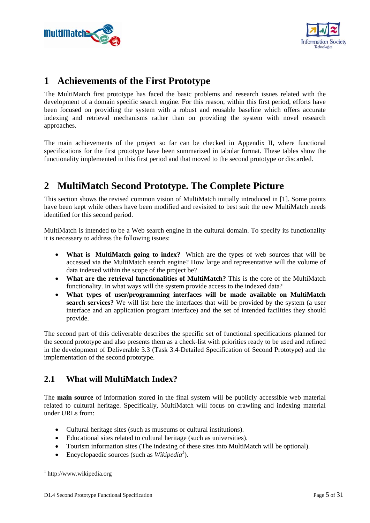



## **1 Achievements of the First Prototype**

The MultiMatch first prototype has faced the basic problems and research issues related with the development of a domain specific search engine. For this reason, within this first period, efforts have been focused on providing the system with a robust and reusable baseline which offers accurate indexing and retrieval mechanisms rather than on providing the system with novel research approaches.

The main achievements of the project so far can be checked in Appendix II, where functional specifications for the first prototype have been summarized in tabular format. These tables show the functionality implemented in this first period and that moved to the second prototype or discarded.

# **2 MultiMatch Second Prototype. The Complete Picture**

This section shows the revised common vision of MultiMatch initially introduced in [1]. Some points have been kept while others have been modified and revisited to best suit the new MultiMatch needs identified for this second period.

MultiMatch is intended to be a Web search engine in the cultural domain. To specify its functionality it is necessary to address the following issues:

- **What is MultiMatch going to index?** Which are the types of web sources that will be accessed via the MultiMatch search engine? How large and representative will the volume of data indexed within the scope of the project be?
- **What are the retrieval functionalities of MultiMatch?** This is the core of the MultiMatch functionality. In what ways will the system provide access to the indexed data?
- **What types of user/programming interfaces will be made available on MultiMatch search services?** We will list here the interfaces that will be provided by the system (a user interface and an application program interface) and the set of intended facilities they should provide.

The second part of this deliverable describes the specific set of functional specifications planned for the second prototype and also presents them as a check-list with priorities ready to be used and refined in the development of Deliverable 3.3 (Task 3.4-Detailed Specification of Second Prototype) and the implementation of the second prototype.

## **2.1 What will MultiMatch Index?**

The **main source** of information stored in the final system will be publicly accessible web material related to cultural heritage. Specifically, MultiMatch will focus on crawling and indexing material under URLs from:

- Cultural heritage sites (such as museums or cultural institutions).
- Educational sites related to cultural heritage (such as universities).
- Tourism information sites (The indexing of these sites into MultiMatch will be optional).
- Encyclopaedic sources (such as *Wikipedia<sup>1</sup>* ).

1

<sup>1</sup> http://www.wikipedia.org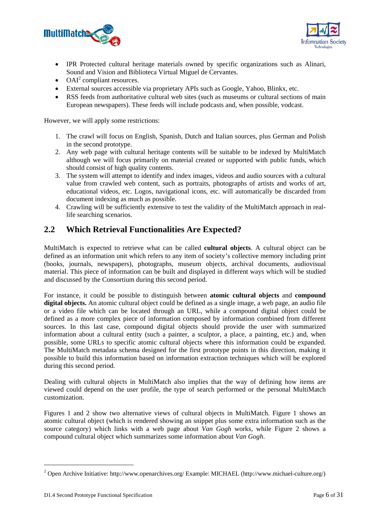



- IPR Protected cultural heritage materials owned by specific organizations such as Alinari, Sound and Vision and Biblioteca Virtual Miguel de Cervantes.
- $\bullet$  OAI<sup>2</sup> compliant resources.
- External sources accessible via proprietary APIs such as Google, Yahoo, Blinkx, etc.
- RSS feeds from authoritative cultural web sites (such as museums or cultural sections of main European newspapers). These feeds will include podcasts and, when possible, vodcast.

However, we will apply some restrictions:

- 1. The crawl will focus on English, Spanish, Dutch and Italian sources, plus German and Polish in the second prototype.
- 2. Any web page with cultural heritage contents will be suitable to be indexed by MultiMatch although we will focus primarily on material created or supported with public funds, which should consist of high quality contents.
- 3. The system will attempt to identify and index images, videos and audio sources with a cultural value from crawled web content, such as portraits, photographs of artists and works of art, educational videos, etc. Logos, navigational icons, etc. will automatically be discarded from document indexing as much as possible.
- 4. Crawling will be sufficiently extensive to test the validity of the MultiMatch approach in reallife searching scenarios.

## **2.2 Which Retrieval Functionalities Are Expected?**

MultiMatch is expected to retrieve what can be called **cultural objects**. A cultural object can be defined as an information unit which refers to any item of society's collective memory including print (books, journals, newspapers), photographs, museum objects, archival documents, audiovisual material. This piece of information can be built and displayed in different ways which will be studied and discussed by the Consortium during this second period.

For instance, it could be possible to distinguish between **atomic cultural objects** and **compound digital objects.** An atomic cultural object could be defined as a single image, a web page, an audio file or a video file which can be located through an URL, while a compound digital object could be defined as a more complex piece of information composed by information combined from different sources. In this last case, compound digital objects should provide the user with summarized information about a cultural entity (such a painter, a sculptor, a place, a painting, etc.) and, when possible, some URLs to specific atomic cultural objects where this information could be expanded. The MultiMatch metadata schema designed for the first prototype points in this direction, making it possible to build this information based on information extraction techniques which will be explored during this second period.

Dealing with cultural objects in MultiMatch also implies that the way of defining how items are viewed could depend on the user profile, the type of search performed or the personal MultiMatch customization.

Figures 1 and 2 show two alternative views of cultural objects in MultiMatch. Figure 1 shows an atomic cultural object (which is rendered showing an snippet plus some extra information such as the source category) which links with a web page about *Van Gogh* works, while Figure 2 shows a compound cultural object which summarizes some information about *Van Gogh*.

1

<sup>&</sup>lt;sup>2</sup> Open Archive Initiative: http://www.openarchives.org/ Example: MICHAEL (http://www.michael-culture.org/)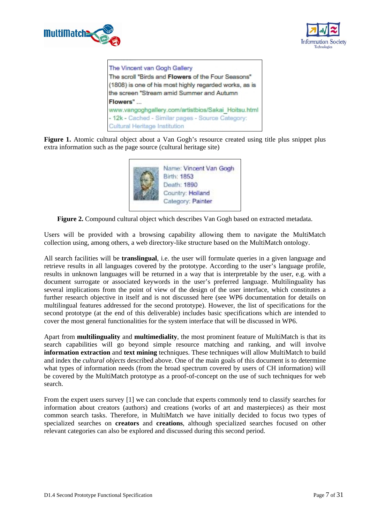



The Vincent van Gogh Gallery The scroll "Birds and Flowers of the Four Seasons" (1808) is one of his most highly regarded works, as is the screen "Stream amid Summer and Autumn Flowers" www.vanooghgallery.com/artistbios/Sakai Hoitsu.html - 12k - Cached - Similar pages - Source Category: Cultural Heritage Institution

Figure 1. Atomic cultural object about a Van Gogh's resource created using title plus snippet plus extra information such as the page source (cultural heritage site)



**Figure 2.** Compound cultural object which describes Van Gogh based on extracted metadata.

Users will be provided with a browsing capability allowing them to navigate the MultiMatch collection using, among others, a web directory-like structure based on the MultiMatch ontology.

All search facilities will be **translingual**, i.e. the user will formulate queries in a given language and retrieve results in all languages covered by the prototype. According to the user's language profile, results in unknown languages will be returned in a way that is interpretable by the user, e.g. with a document surrogate or associated keywords in the user's preferred language. Multilinguality has several implications from the point of view of the design of the user interface, which constitutes a further research objective in itself and is not discussed here (see WP6 documentation for details on multilingual features addressed for the second prototype). However, the list of specifications for the second prototype (at the end of this deliverable) includes basic specifications which are intended to cover the most general functionalities for the system interface that will be discussed in WP6.

Apart from **multilinguality** and **multimediality**, the most prominent feature of MultiMatch is that its search capabilities will go beyond simple resource matching and ranking, and will involve **information extraction** and **text mining** techniques. These techniques will allow MultiMatch to build and index the *cultural objects* described above. One of the main goals of this document is to determine what types of information needs (from the broad spectrum covered by users of CH information) will be covered by the MultiMatch prototype as a proof-of-concept on the use of such techniques for web search.

From the expert users survey [1] we can conclude that experts commonly tend to classify searches for information about creators (authors) and creations (works of art and masterpieces) as their most common search tasks. Therefore, in MultiMatch we have initially decided to focus two types of specialized searches on **creators** and **creations**, although specialized searches focused on other relevant categories can also be explored and discussed during this second period.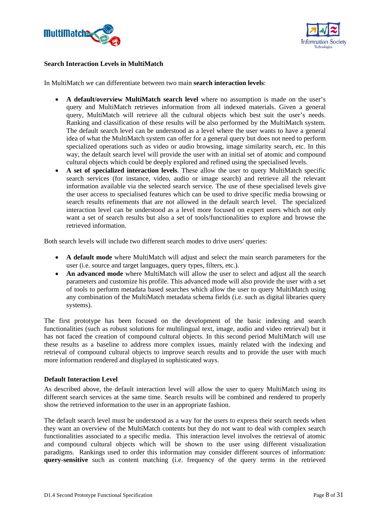



#### **Search Interaction Levels in MultiMatch**

In MultiMatch we can differentiate between two main **search interaction levels**:

- **A default/overview MultiMatch search level** where no assumption is made on the user's query and MultiMatch retrieves information from all indexed materials. Given a general query, MultiMatch will retrieve all the cultural objects which best suit the user's needs. Ranking and classification of these results will be also performed by the MultiMatch system. The default search level can be understood as a level where the user wants to have a general idea of what the MultiMatch system can offer for a general query but does not need to perform specialized operations such as video or audio browsing, image similarity search, etc. In this way, the default search level will provide the user with an initial set of atomic and compound cultural objects which could be deeply explored and refined using the specialised levels.
- **A set of specialized interaction levels**. These allow the user to query MultiMatch specific search services (for instance, video, audio or image search) and retrieve all the relevant information available via the selected search service. The use of these specialised levels give the user access to specialised features which can be used to drive specific media browsing or search results refinements that are not allowed in the default search level. The specialized interaction level can be understood as a level more focused on expert users which not only want a set of search results but also a set of tools/functionalities to explore and browse the retrieved information.

Both search levels will include two different search modes to drive users' queries:

- **A default mode** where MultiMatch will adjust and select the main search parameters for the user (i.e. source and target languages, query types, filters, etc.).
- An advanced mode where MultiMatch will allow the user to select and adjust all the search parameters and customize his profile. This advanced mode will also provide the user with a set of tools to perform metadata based searches which allow the user to query MultiMatch using any combination of the MultiMatch metadata schema fields (i.e. such as digital libraries query systems).

The first prototype has been focused on the development of the basic indexing and search functionalities (such as robust solutions for multilingual text, image, audio and video retrieval) but it has not faced the creation of compound cultural objects. In this second period MultiMatch will use these results as a baseline to address more complex issues, mainly related with the indexing and retrieval of compound cultural objects to improve search results and to provide the user with much more information rendered and displayed in sophisticated ways.

#### **Default Interaction Level**

As described above, the default interaction level will allow the user to query MultiMatch using its different search services at the same time. Search results will be combined and rendered to properly show the retrieved information to the user in an appropriate fashion.

The default search level must be understood as a way for the users to express their search needs when they want an overview of the MultiMatch contents but they do not want to deal with complex search functionalities associated to a specific media. This interaction level involves the retrieval of atomic and compound cultural objects which will be shown to the user using different visualization paradigms. Rankings used to order this information may consider different sources of information: **query-sensitive** such as content matching (i.e. frequency of the query terms in the retrieved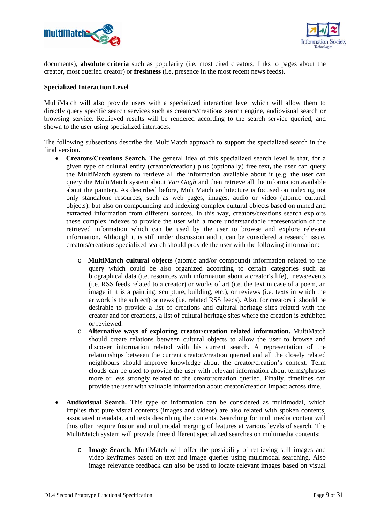



documents), **absolute criteria** such as popularity (i.e. most cited creators, links to pages about the creator, most queried creator) or **freshness** (i.e. presence in the most recent news feeds).

#### **Specialized Interaction Level**

MultiMatch will also provide users with a specialized interaction level which will allow them to directly query specific search services such as creators/creations search engine, audiovisual search or browsing service. Retrieved results will be rendered according to the search service queried, and shown to the user using specialized interfaces.

The following subsections describe the MultiMatch approach to support the specialized search in the final version.

- **Creators/Creations Search.** The general idea of this specialized search level is that, for a given type of cultural entity (creator/creation) plus (optionally) free text**,** the user can query the MultiMatch system to retrieve all the information available about it (e.g. the user can query the MultiMatch system about *Van Gogh* and then retrieve all the information available about the painter). As described before, MultiMatch architecture is focused on indexing not only standalone resources, such as web pages, images, audio or video (atomic cultural objects), but also on compounding and indexing complex cultural objects based on mined and extracted information from different sources. In this way, creators/creations search exploits these complex indexes to provide the user with a more understandable representation of the retrieved information which can be used by the user to browse and explore relevant information. Although it is still under discussion and it can be considered a research issue, creators/creations specialized search should provide the user with the following information:
	- o **MultiMatch cultural objects** (atomic and/or compound) information related to the query which could be also organized according to certain categories such as biographical data (i.e. resources with information about a creator's life), news/events (i.e. RSS feeds related to a creator) or works of art (i.e. the text in case of a poem, an image if it is a painting, sculpture, building, etc.), or reviews (i.e. texts in which the artwork is the subject) or news (i.e. related RSS feeds). Also, for creators it should be desirable to provide a list of creations and cultural heritage sites related with the creator and for creations, a list of cultural heritage sites where the creation is exhibited or reviewed.
	- o **Alternative ways of exploring creator/creation related information.** MultiMatch should create relations between cultural objects to allow the user to browse and discover information related with his current search. A representation of the relationships between the current creator/creation queried and all the closely related neighbours should improve knowledge about the creator/creation's context. Term clouds can be used to provide the user with relevant information about terms/phrases more or less strongly related to the creator/creation queried. Finally, timelines can provide the user with valuable information about creator/creation impact across time.
- **Audiovisual Search.** This type of information can be considered as multimodal, which implies that pure visual contents (images and videos) are also related with spoken contents, associated metadata, and texts describing the contents. Searching for multimedia content will thus often require fusion and multimodal merging of features at various levels of search. The MultiMatch system will provide three different specialized searches on multimedia contents:
	- o **Image Search.** MultiMatch will offer the possibility of retrieving still images and video keyframes based on text and image queries using multimodal searching. Also image relevance feedback can also be used to locate relevant images based on visual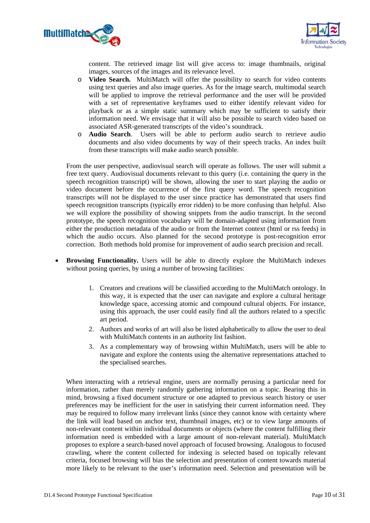



content. The retrieved image list will give access to: image thumbnails, original images, sources of the images and its relevance level.

- o **Video Search.** MultiMatch will offer the possibility to search for video contents using text queries and also image queries. As for the image search, multimodal search will be applied to improve the retrieval performance and the user will be provided with a set of representative keyframes used to either identify relevant video for playback or as a simple static summary which may be sufficient to satisfy their information need. We envisage that it will also be possible to search video based on associated ASR-generated transcripts of the video's soundtrack.
- o **Audio Search**. Users will be able to perform audio search to retrieve audio documents and also video documents by way of their speech tracks. An index built from these transcripts will make audio search possible.

From the user perspective, audiovisual search will operate as follows. The user will submit a free text query. Audiovisual documents relevant to this query (i.e. containing the query in the speech recognition transcript) will be shown, allowing the user to start playing the audio or video document before the occurrence of the first query word. The speech recognition transcripts will not be displayed to the user since practice has demonstrated that users find speech recognition transcripts (typically error ridden) to be more confusing than helpful. Also we will explore the possibility of showing snippets from the audio transcript. In the second prototype, the speech recognition vocabulary will be domain-adapted using information from either the production metadata of the audio or from the Internet context (html or rss feeds) in which the audio occurs. Also planned for the second prototype is post-recognition error correction. Both methods hold promise for improvement of audio search precision and recall.

- **Browsing Functionality.** Users will be able to directly explore the MultiMatch indexes without posing queries, by using a number of browsing facilities:
	- 1. Creators and creations will be classified according to the MultiMatch ontology. In this way, it is expected that the user can navigate and explore a cultural heritage knowledge space, accessing atomic and compound cultural objects. For instance, using this approach, the user could easily find all the authors related to a specific art period.
	- 2. Authors and works of art will also be listed alphabetically to allow the user to deal with MultiMatch contents in an authority list fashion.
	- 3. As a complementary way of browsing within MultiMatch, users will be able to navigate and explore the contents using the alternative representations attached to the specialised searches.

When interacting with a retrieval engine, users are normally perusing a particular need for information, rather than merely randomly gathering information on a topic. Bearing this in mind, browsing a fixed document structure or one adapted to previous search history or user preferences may be inefficient for the user in satisfying their current information need. They may be required to follow many irrelevant links (since they cannot know with certainty where the link will lead based on anchor text, thumbnail images, etc) or to view large amounts of non-relevant content within individual documents or objects (where the content fulfilling their information need is embedded with a large amount of non-relevant material). MultiMatch proposes to explore a search-based novel approach of focused browsing. Analogous to focused crawling, where the content collected for indexing is selected based on topically relevant criteria, focused browsing will bias the selection and presentation of content towards material more likely to be relevant to the user's information need. Selection and presentation will be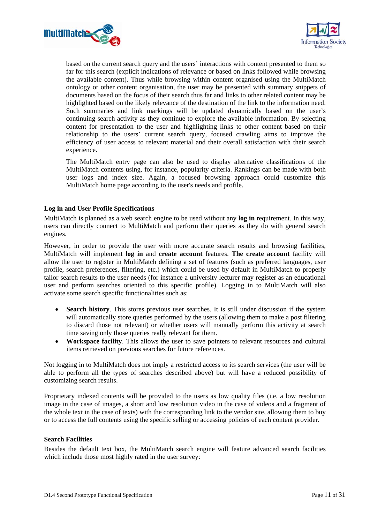



based on the current search query and the users' interactions with content presented to them so far for this search (explicit indications of relevance or based on links followed while browsing the available content). Thus while browsing within content organised using the MultiMatch ontology or other content organisation, the user may be presented with summary snippets of documents based on the focus of their search thus far and links to other related content may be highlighted based on the likely relevance of the destination of the link to the information need. Such summaries and link markings will be updated dynamically based on the user's continuing search activity as they continue to explore the available information. By selecting content for presentation to the user and highlighting links to other content based on their relationship to the users' current search query, focused crawling aims to improve the efficiency of user access to relevant material and their overall satisfaction with their search experience.

The MultiMatch entry page can also be used to display alternative classifications of the MultiMatch contents using, for instance, popularity criteria. Rankings can be made with both user logs and index size. Again, a focused browsing approach could customize this MultiMatch home page according to the user's needs and profile.

#### **Log in and User Profile Specifications**

MultiMatch is planned as a web search engine to be used without any **log in** requirement. In this way, users can directly connect to MultiMatch and perform their queries as they do with general search engines.

However, in order to provide the user with more accurate search results and browsing facilities, MultiMatch will implement **log in** and **create account** features. **The create account** facility will allow the user to register in MultiMatch defining a set of features (such as preferred languages, user profile, search preferences, filtering, etc.) which could be used by default in MultiMatch to properly tailor search results to the user needs (for instance a university lecturer may register as an educational user and perform searches oriented to this specific profile). Logging in to MultiMatch will also activate some search specific functionalities such as:

- **Search history**. This stores previous user searches. It is still under discussion if the system will automatically store queries performed by the users (allowing them to make a post filtering to discard those not relevant) or whether users will manually perform this activity at search time saving only those queries really relevant for them.
- **Workspace facility**. This allows the user to save pointers to relevant resources and cultural items retrieved on previous searches for future references.

Not logging in to MultiMatch does not imply a restricted access to its search services (the user will be able to perform all the types of searches described above) but will have a reduced possibility of customizing search results.

Proprietary indexed contents will be provided to the users as low quality files (i.e. a low resolution image in the case of images, a short and low resolution video in the case of videos and a fragment of the whole text in the case of texts) with the corresponding link to the vendor site, allowing them to buy or to access the full contents using the specific selling or accessing policies of each content provider.

#### **Search Facilities**

Besides the default text box, the MultiMatch search engine will feature advanced search facilities which include those most highly rated in the user survey: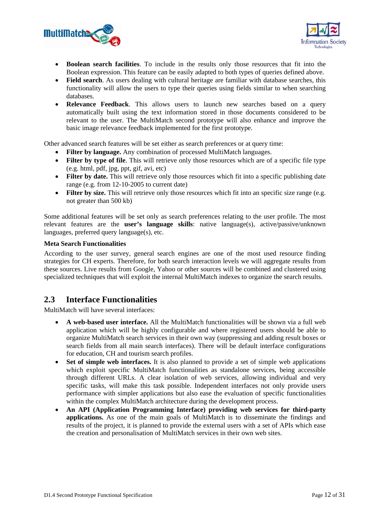



- **Boolean search facilities**. To include in the results only those resources that fit into the Boolean expression. This feature can be easily adapted to both types of queries defined above.
- **Field search**. As users dealing with cultural heritage are familiar with database searches, this functionality will allow the users to type their queries using fields similar to when searching databases.
- **Relevance Feedback**. This allows users to launch new searches based on a query automatically built using the text information stored in those documents considered to be relevant to the user. The MultiMatch second prototype will also enhance and improve the basic image relevance feedback implemented for the first prototype.

Other advanced search features will be set either as search preferences or at query time:

- **Filter by language.** Any combination of processed MultiMatch languages.
- **Filter by type of file**. This will retrieve only those resources which are of a specific file type (e.g. html, pdf, jpg, ppt, gif, avi, etc)
- **Filter by date.** This will retrieve only those resources which fit into a specific publishing date range (e.g. from 12-10-2005 to current date)
- **Filter by size.** This will retrieve only those resources which fit into an specific size range (e.g. not greater than 500 kb)

Some additional features will be set only as search preferences relating to the user profile. The most relevant features are the **user's language skills**: native language(s), active/passive/unknown languages, preferred query language(s), etc.

#### **Meta Search Functionalities**

According to the user survey, general search engines are one of the most used resource finding strategies for CH experts. Therefore, for both search interaction levels we will aggregate results from these sources. Live results from Google, Yahoo or other sources will be combined and clustered using specialized techniques that will exploit the internal MultiMatch indexes to organize the search results.

## **2.3 Interface Functionalities**

MultiMatch will have several interfaces:

- **A web-based user interface.** All the MultiMatch functionalities will be shown via a full web application which will be highly configurable and where registered users should be able to organize MultiMatch search services in their own way (suppressing and adding result boxes or search fields from all main search interfaces). There will be default interface configurations for education, CH and tourism search profiles.
- Set of simple web interfaces. It is also planned to provide a set of simple web applications which exploit specific MultiMatch functionalities as standalone services, being accessible through different URLs. A clear isolation of web services, allowing individual and very specific tasks, will make this task possible. Independent interfaces not only provide users performance with simpler applications but also ease the evaluation of specific functionalities within the complex MultiMatch architecture during the development process.
- **An API (Application Programming Interface) providing web services for third-party applications.** As one of the main goals of MultiMatch is to disseminate the findings and results of the project, it is planned to provide the external users with a set of APIs which ease the creation and personalisation of MultiMatch services in their own web sites.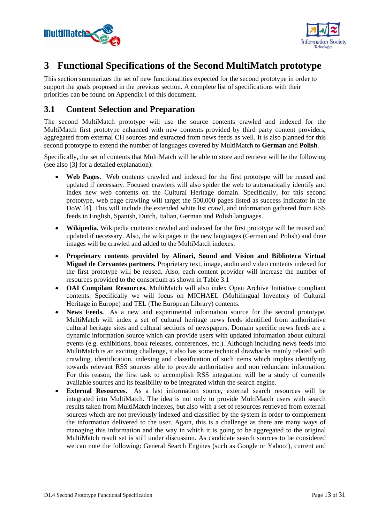



## **3 Functional Specifications of the Second MultiMatch prototype**

This section summarizes the set of new functionalities expected for the second prototype in order to support the goals proposed in the previous section. A complete list of specifications with their priorities can be found on Appendix I of this document.

## **3.1 Content Selection and Preparation**

The second MultiMatch prototype will use the source contents crawled and indexed for the MultiMatch first prototype enhanced with new contents provided by third party content providers, aggregated from external CH sources and extracted from news feeds as well. It is also planned for this second prototype to extend the number of languages covered by MultiMatch to **German** and **Polish**.

Specifically, the set of contents that MultiMatch will be able to store and retrieve will be the following (see also [3] for a detailed explanation):

- **Web Pages.** Web contents crawled and indexed for the first prototype will be reused and updated if necessary. Focused crawlers will also spider the web to automatically identify and index new web contents on the Cultural Heritage domain. Specifically, for this second prototype, web page crawling will target the 500,000 pages listed as success indicator in the DoW [4]. This will include the extended white list crawl, and information gathered from RSS feeds in English, Spanish, Dutch, Italian, German and Polish languages.
- **Wikipedia.** Wikipedia contents crawled and indexed for the first prototype will be reused and updated if necessary. Also, the wiki pages in the new languages (German and Polish) and their images will be crawled and added to the MultiMatch indexes.
- **Proprietary contents provided by Alinari, Sound and Vision and Biblioteca Virtual Miguel de Cervantes partners.** Proprietary text, image, audio and video contents indexed for the first prototype will be reused. Also, each content provider will increase the number of resources provided to the consortium as shown in Table 3.1
- **OAI Compilant Resources.** MultiMatch will also index Open Archive Initiative compliant contents. Specifically we will focus on MICHAEL (Multilingual Inventory of Cultural Heritage in Europe) and TEL (The European Library) contents.
- **News Feeds.** As a new and experimental information source for the second prototype, MultiMatch will index a set of cultural heritage news feeds identified from authoritative cultural heritage sites and cultural sections of newspapers. Domain specific news feeds are a dynamic information source which can provide users with updated information about cultural events (e.g. exhibitions, book releases, conferences, etc.). Although including news feeds into MultiMatch is an exciting challenge, it also has some technical drawbacks mainly related with crawling, identification, indexing and classification of such items which implies identifying towards relevant RSS sources able to provide authoritative and non redundant information. For this reason, the first task to accomplish RSS integration will be a study of currently available sources and its feasibility to be integrated within the search engine.
- **External Resources.** As a last information source, external search resources will be integrated into MultiMatch. The idea is not only to provide MultiMatch users with search results taken from MultiMatch indexes, but also with a set of resources retrieved from external sources which are not previously indexed and classified by the system in order to complement the information delivered to the user. Again, this is a challenge as there are many ways of managing this information and the way in which it is going to be aggregated to the original MultiMatch result set is still under discussion. As candidate search sources to be considered we can note the following: General Search Engines (such as Google or Yahoo!), current and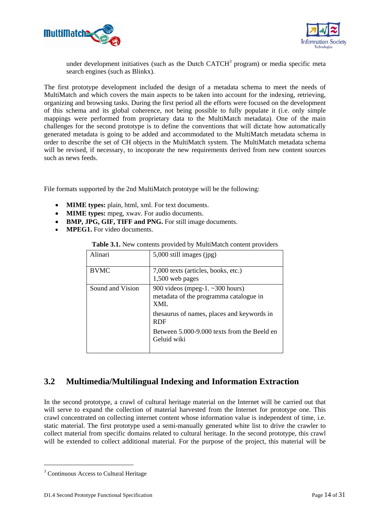



under development initiatives (such as the Dutch  $CATCH<sup>3</sup>$  program) or media specific meta search engines (such as Blinkx).

The first prototype development included the design of a metadata schema to meet the needs of MultiMatch and which covers the main aspects to be taken into account for the indexing, retrieving, organizing and browsing tasks. During the first period all the efforts were focused on the development of this schema and its global coherence, not being possible to fully populate it (i.e. only simple mappings were performed from proprietary data to the MultiMatch metadata). One of the main challenges for the second prototype is to define the conventions that will dictate how automatically generated metadata is going to be added and accommodated to the MultiMatch metadata schema in order to describe the set of CH objects in the MultiMatch system. The MultiMatch metadata schema will be revised, if necessary, to incoporate the new requirements derived from new content sources such as news feeds.

File formats supported by the 2nd MultiMatch prototype will be the following:

- **MIME types:** plain, html, xml. For text documents.
- **MIME types:** mpeg, xwav. For audio documents.
- **BMP, JPG, GIF, TIFF and PNG.** For still image documents.
- **MPEG1.** For video documents.

| Alinari          | 5,000 still images (jpg)                                                                   |
|------------------|--------------------------------------------------------------------------------------------|
| <b>BVMC</b>      | 7,000 texts (articles, books, etc.)<br>1,500 web pages                                     |
|                  |                                                                                            |
| Sound and Vision | 900 videos (mpeg-1. $\sim$ 300 hours)<br>metadata of the programma catalogue in<br>$XMI$ . |
|                  | thesaurus of names, places and keywords in<br><b>RDF</b>                                   |
|                  | Between 5.000-9.000 texts from the Beeld en<br>Geluid wiki                                 |
|                  |                                                                                            |

#### **Table 3.1.** New contents provided by MultiMatch content providers

## **3.2 Multimedia/Multilingual Indexing and Information Extraction**

In the second prototype, a crawl of cultural heritage material on the Internet will be carried out that will serve to expand the collection of material harvested from the Internet for prototype one. This crawl concentrated on collecting internet content whose information value is independent of time, i.e. static material. The first prototype used a semi-manually generated white list to drive the crawler to collect material from specific domains related to cultural heritage. In the second prototype, this crawl will be extended to collect additional material. For the purpose of the project, this material will be

1

<sup>&</sup>lt;sup>3</sup> Continuous Access to Cultural Heritage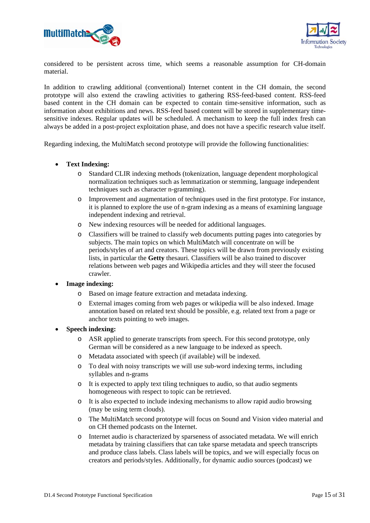



considered to be persistent across time, which seems a reasonable assumption for CH-domain material.

In addition to crawling additional (conventional) Internet content in the CH domain, the second prototype will also extend the crawling activities to gathering RSS-feed-based content. RSS-feed based content in the CH domain can be expected to contain time-sensitive information, such as information about exhibitions and news. RSS-feed based content will be stored in supplementary timesensitive indexes. Regular updates will be scheduled. A mechanism to keep the full index fresh can always be added in a post-project exploitation phase, and does not have a specific research value itself.

Regarding indexing, the MultiMatch second prototype will provide the following functionalities:

#### • **Text Indexing:**

- o Standard CLIR indexing methods (tokenization, language dependent morphological normalization techniques such as lemmatization or stemming, language independent techniques such as character n-gramming).
- o Improvement and augmentation of techniques used in the first prototype. For instance, it is planned to explore the use of n-gram indexing as a means of examining language independent indexing and retrieval.
- o New indexing resources will be needed for additional languages.
- o Classifiers will be trained to classify web documents putting pages into categories by subjects. The main topics on which MultiMatch will concentrate on will be periods/styles of art and creators. These topics will be drawn from previously existing lists, in particular the **Getty** thesauri. Classifiers will be also trained to discover relations between web pages and Wikipedia articles and they will steer the focused crawler.

#### • **Image indexing:**

- o Based on image feature extraction and metadata indexing.
- o External images coming from web pages or wikipedia will be also indexed. Image annotation based on related text should be possible, e.g. related text from a page or anchor texts pointing to web images.

### • **Speech indexing:**

- o ASR applied to generate transcripts from speech. For this second prototype, only German will be considered as a new language to be indexed as speech.
- o Metadata associated with speech (if available) will be indexed.
- o To deal with noisy transcripts we will use sub-word indexing terms, including syllables and n-grams
- o It is expected to apply text tiling techniques to audio, so that audio segments homogeneous with respect to topic can be retrieved.
- o It is also expected to include indexing mechanisms to allow rapid audio browsing (may be using term clouds).
- o The MultiMatch second prototype will focus on Sound and Vision video material and on CH themed podcasts on the Internet.
- o Internet audio is characterized by sparseness of associated metadata. We will enrich metadata by training classifiers that can take sparse metadata and speech transcripts and produce class labels. Class labels will be topics, and we will especially focus on creators and periods/styles. Additionally, for dynamic audio sources (podcast) we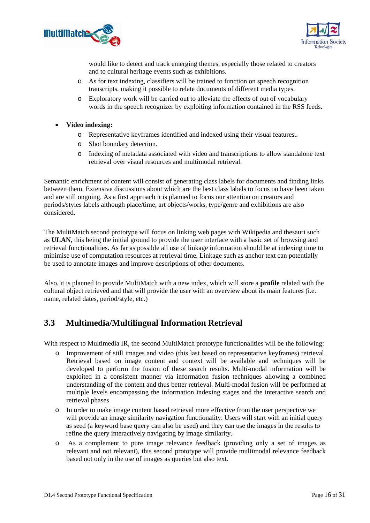



would like to detect and track emerging themes, especially those related to creators and to cultural heritage events such as exhibitions.

- o As for text indexing, classifiers will be trained to function on speech recognition transcripts, making it possible to relate documents of different media types.
- o Exploratory work will be carried out to alleviate the effects of out of vocabulary words in the speech recognizer by exploiting information contained in the RSS feeds.
- **Video indexing:** 
	- o Representative keyframes identified and indexed using their visual features..
	- o Shot boundary detection.
	- o Indexing of metadata associated with video and transcriptions to allow standalone text retrieval over visual resources and multimodal retrieval.

Semantic enrichment of content will consist of generating class labels for documents and finding links between them. Extensive discussions about which are the best class labels to focus on have been taken and are still ongoing. As a first approach it is planned to focus our attention on creators and periods/styles labels although place/time, art objects/works, type/genre and exhibitions are also considered.

The MultiMatch second prototype will focus on linking web pages with Wikipedia and thesauri such as **ULAN**, this being the initial ground to provide the user interface with a basic set of browsing and retrieval functionalities. As far as possible all use of linkage information should be at indexing time to minimise use of computation resources at retrieval time. Linkage such as anchor text can potentially be used to annotate images and improve descriptions of other documents.

Also, it is planned to provide MultiMatch with a new index, which will store a **profile** related with the cultural object retrieved and that will provide the user with an overview about its main features (i.e. name, related dates, period/style, etc.)

## **3.3 Multimedia/Multilingual Information Retrieval**

With respect to Multimedia IR, the second MultiMatch prototype functionalities will be the following:

- o Improvement of still images and video (this last based on representative keyframes) retrieval. Retrieval based on image content and context will be available and techniques will be developed to perform the fusion of these search results. Multi-modal information will be exploited in a consistent manner via information fusion techniques allowing a combined understanding of the content and thus better retrieval. Multi-modal fusion will be performed at multiple levels encompassing the information indexing stages and the interactive search and retrieval phases
- o In order to make image content based retrieval more effective from the user perspective we will provide an image similarity navigation functionality. Users will start with an initial query as seed (a keyword base query can also be used) and they can use the images in the results to refine the query interactively navigating by image similarity.
- o As a complement to pure image relevance feedback (providing only a set of images as relevant and not relevant), this second prototype will provide multimodal relevance feedback based not only in the use of images as queries but also text.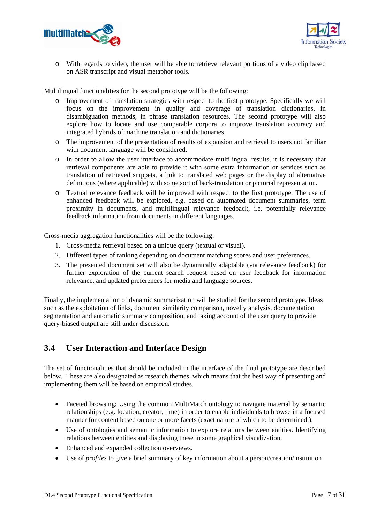



o With regards to video, the user will be able to retrieve relevant portions of a video clip based on ASR transcript and visual metaphor tools.

Multilingual functionalities for the second prototype will be the following:

- o Improvement of translation strategies with respect to the first prototype. Specifically we will focus on the improvement in quality and coverage of translation dictionaries, in disambiguation methods, in phrase translation resources. The second prototype will also explore how to locate and use comparable corpora to improve translation accuracy and integrated hybrids of machine translation and dictionaries.
- o The improvement of the presentation of results of expansion and retrieval to users not familiar with document language will be considered.
- o In order to allow the user interface to accommodate multilingual results, it is necessary that retrieval components are able to provide it with some extra information or services such as translation of retrieved snippets, a link to translated web pages or the display of alternative definitions (where applicable) with some sort of back-translation or pictorial representation.
- o Textual relevance feedback will be improved with respect to the first prototype. The use of enhanced feedback will be explored, e.g. based on automated document summaries, term proximity in documents, and multilingual relevance feedback, i.e. potentially relevance feedback information from documents in different languages.

Cross-media aggregation functionalities will be the following:

- 1. Cross-media retrieval based on a unique query (textual or visual).
- 2. Different types of ranking depending on document matching scores and user preferences.
- 3. The presented document set will also be dynamically adaptable (via relevance feedback) for further exploration of the current search request based on user feedback for information relevance, and updated preferences for media and language sources.

Finally, the implementation of dynamic summarization will be studied for the second prototype. Ideas such as the exploitation of links, document similarity comparison, novelty analysis, documentation segmentation and automatic summary composition, and taking account of the user query to provide query-biased output are still under discussion.

## **3.4 User Interaction and Interface Design**

The set of functionalities that should be included in the interface of the final prototype are described below. These are also designated as research themes, which means that the best way of presenting and implementing them will be based on empirical studies.

- Faceted browsing: Using the common MultiMatch ontology to navigate material by semantic relationships (e.g. location, creator, time) in order to enable individuals to browse in a focused manner for content based on one or more facets (exact nature of which to be determined.).
- Use of ontologies and semantic information to explore relations between entities. Identifying relations between entities and displaying these in some graphical visualization.
- Enhanced and expanded collection overviews.
- Use of *profiles* to give a brief summary of key information about a person/creation/institution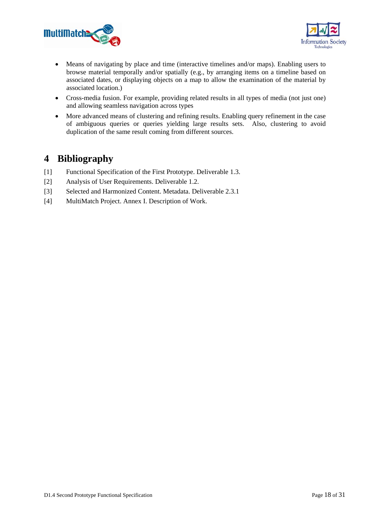



- Means of navigating by place and time (interactive timelines and/or maps). Enabling users to browse material temporally and/or spatially (e.g., by arranging items on a timeline based on associated dates, or displaying objects on a map to allow the examination of the material by associated location.)
- Cross-media fusion. For example, providing related results in all types of media (not just one) and allowing seamless navigation across types
- More advanced means of clustering and refining results. Enabling query refinement in the case of ambiguous queries or queries yielding large results sets. Also, clustering to avoid duplication of the same result coming from different sources.

## **4 Bibliography**

- [1] Functional Specification of the First Prototype. Deliverable 1.3.
- [2] Analysis of User Requirements. Deliverable 1.2.
- [3] Selected and Harmonized Content. Metadata. Deliverable 2.3.1
- [4] MultiMatch Project. Annex I. Description of Work.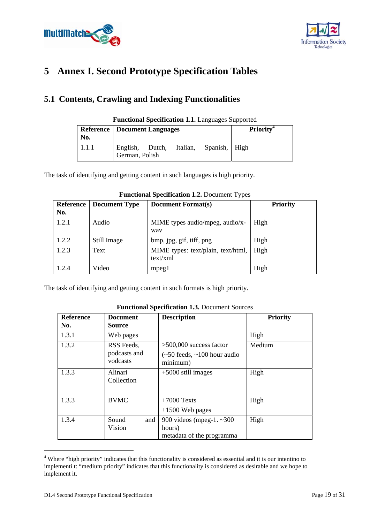



# **5 Annex I. Second Prototype Specification Tables**

## **5.1 Contents, Crawling and Indexing Functionalities**

| No.   | <b>Reference   Document Languages</b>      |  |               | <b>Priority</b> <sup>4</sup> |
|-------|--------------------------------------------|--|---------------|------------------------------|
| 1.1.1 | English, Dutch, Italian,<br>German, Polish |  | Spanish, High |                              |

#### **Functional Specification 1.1.** Languages Supported

The task of identifying and getting content in such languages is high priority.

| Reference<br>No. | <b>Document Type</b> | <b>Document Format(s)</b>                      | <b>Priority</b> |
|------------------|----------------------|------------------------------------------------|-----------------|
| 1.2.1            | Audio                | MIME types audio/mpeg, audio/x-<br>way         | High            |
| 1.2.2            | Still Image          | bmp, jpg, gif, tiff, png                       | High            |
| 1.2.3            | Text                 | MIME types: text/plain, text/html,<br>text/xml | High            |
| 1.2.4            | Video                | mpeg1                                          | High            |

### **Functional Specification 1.2.** Document Types

The task of identifying and getting content in such formats is high priority.

| <b>Reference</b><br>No. | <b>Document</b><br><b>Source</b>       | <b>Description</b>                                                                            | <b>Priority</b> |
|-------------------------|----------------------------------------|-----------------------------------------------------------------------------------------------|-----------------|
| 1.3.1                   | Web pages                              |                                                                                               | High            |
| 1.3.2                   | RSS Feeds,<br>podcasts and<br>vodcasts | $>500,000$ success factor<br>$\left(-50 \text{ feeds}, -100 \text{ hour} \right)$<br>minimum) | Medium          |
| 1.3.3                   | Alinari<br>Collection                  | $+5000$ still images                                                                          | High            |
| 1.3.3                   | <b>BVMC</b>                            | $+7000$ Texts<br>$+1500$ Web pages                                                            | High            |
| 1.3.4                   | Sound<br>and<br>Vision                 | 900 videos (mpeg-1. $~\sim$ 300<br>hours)<br>metadata of the programma                        | High            |

#### **Functional Specification 1.3.** Document Sources

1

<sup>&</sup>lt;sup>4</sup> Where "high priority" indicates that this functionality is considered as essential and it is our intentino to implementi t: "medium priority" indicates that this functionality is considered as desirable and we hope to implement it.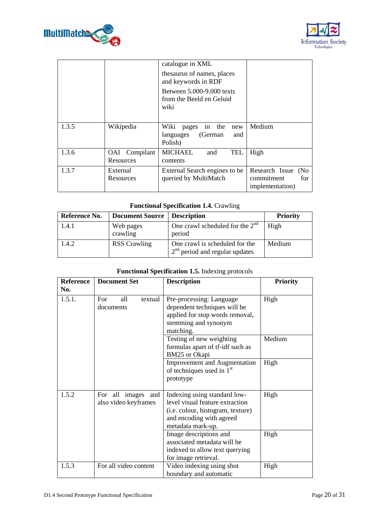



|       |                            | catalogue in XML<br>thesaurus of names, places<br>and keywords in RDF<br>Between 5.000-9.000 texts<br>from the Beeld en Geluid<br>wiki |                                                                |
|-------|----------------------------|----------------------------------------------------------------------------------------------------------------------------------------|----------------------------------------------------------------|
| 1.3.5 | Wikipedia                  | Wiki<br>in the<br>pages<br>new<br>languages<br>(German)<br>and<br>Polish)                                                              | Medium                                                         |
| 1.3.6 | OAI Compilant<br>Resources | <b>MICHAEL</b><br><b>TEL</b><br>and<br>contents                                                                                        | High                                                           |
| 1.3.7 | External<br>Resources      | External Search engines to be<br>queried by MultiMatch                                                                                 | Research Issue<br>(No)<br>commitment<br>for<br>implementation) |

## **Functional Specification 1.4.** Crawling

| Reference No. | Document Source   Description |                                                                    | <b>Priority</b> |
|---------------|-------------------------------|--------------------------------------------------------------------|-----------------|
| 1.4.1         | Web pages<br>crawling         | One crawl scheduled for the $2nd$<br>period                        | High            |
| 1.4.2         | <b>RSS</b> Crawling           | One crawl is scheduled for the<br>$2nd$ period and regular updates | Medium          |

## **Functional Specification 1.5.** Indexing protocols

| <b>Reference</b> | <b>Document Set</b>                           | <b>Description</b>                                                                                                                                    | <b>Priority</b> |
|------------------|-----------------------------------------------|-------------------------------------------------------------------------------------------------------------------------------------------------------|-----------------|
| No.              |                                               |                                                                                                                                                       |                 |
| 1.5.1.           | For<br>all<br>textual<br>documents            | Pre-processing: Language<br>dependent techniques will be<br>applied for stop words removal,<br>stemming and synonym<br>matching.                      | High            |
|                  |                                               | Testing of new weighting<br>formulas apart of tf-idf such as<br>BM25 or Okapi                                                                         | Medium          |
|                  |                                               | <b>Improvement and Augmentation</b><br>of techniques used in 1 <sup>st</sup><br>prototype                                                             | High            |
| 1.5.2            | For all images<br>and<br>also video keyframes | Indexing using standard low-<br>level visual feature extraction<br>(i.e. colour, histogram, texture)<br>and encoding with agreed<br>metadata mark-up. | High            |
|                  |                                               | Image descriptions and<br>associated metadata will be<br>indexed to allow text querying<br>for image retrieval.                                       | High            |
| 1.5.3            | For all video content                         | Video indexing using shot<br>boundary and automatic                                                                                                   | High            |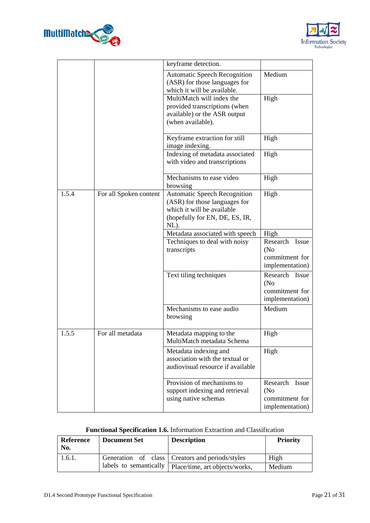



|       |                        | keyframe detection.                                                                                                                          |                                                             |
|-------|------------------------|----------------------------------------------------------------------------------------------------------------------------------------------|-------------------------------------------------------------|
|       |                        | <b>Automatic Speech Recognition</b><br>(ASR) for those languages for<br>which it will be available.                                          | Medium                                                      |
|       |                        | MultiMatch will index the<br>provided transcriptions (when<br>available) or the ASR output<br>(when available).                              | High                                                        |
|       |                        | Keyframe extraction for still<br>image indexing.                                                                                             | High                                                        |
|       |                        | Indexing of metadata associated<br>with video and transcriptions                                                                             | High                                                        |
|       |                        | Mechanisms to ease video<br>browsing                                                                                                         | High                                                        |
| 1.5.4 | For all Spoken content | <b>Automatic Speech Recognition</b><br>(ASR) for those languages for<br>which it will be available<br>(hopefully for EN, DE, ES, IR,<br>NL). | High                                                        |
|       |                        | Metadata associated with speech                                                                                                              | High                                                        |
|       |                        | Techniques to deal with noisy<br>transcripts                                                                                                 | Research Issue<br>(No)<br>commitment for<br>implementation) |
|       |                        | Text tiling techniques                                                                                                                       | Research Issue<br>(No)<br>commitment for<br>implementation) |
|       |                        | Mechanisms to ease audio<br>browsing                                                                                                         | Medium                                                      |
| 1.5.5 | For all metadata       | Metadata mapping to the<br>MultiMatch metadata Schema                                                                                        | High                                                        |
|       |                        | Metadata indexing and<br>association with the textual or<br>audiovisual resource if available                                                | High                                                        |
|       |                        | Provision of mechanisms to<br>support indexing and retrieval<br>using native schemas                                                         | Research Issue<br>(No)<br>commitment for<br>implementation) |

## **Functional Specification 1.6.** Information Extraction and Classification

| Reference<br>No. | <b>Document Set</b> | <b>Description</b>                                      | <b>Priority</b> |
|------------------|---------------------|---------------------------------------------------------|-----------------|
| 1.6.1.           |                     | Generation of class   Creators and periods/styles       | High            |
|                  |                     | labels to semantically   Place/time, art objects/works, | Medium          |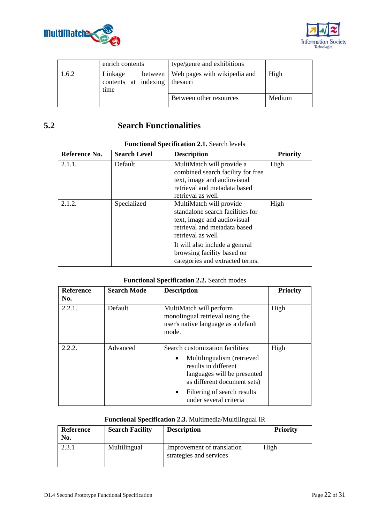



|       | enrich contents                                     |  | type/genre and exhibitions             |        |
|-------|-----------------------------------------------------|--|----------------------------------------|--------|
| 1.6.2 | Linkage<br>contents at indexing   the sauri<br>time |  | between   Web pages with wikipedia and | High   |
|       |                                                     |  | Between other resources                | Medium |

## **5.2 Search Functionalities**

| Reference No. | <b>Search Level</b> | <b>Description</b>                                                                                                                                 | <b>Priority</b> |
|---------------|---------------------|----------------------------------------------------------------------------------------------------------------------------------------------------|-----------------|
| 2.1.1.        | Default             | MultiMatch will provide a<br>combined search facility for free<br>text, image and audiovisual<br>retrieval and metadata based<br>retrieval as well | High            |
| 2.1.2.        | Specialized         | MultiMatch will provide<br>standalone search facilities for<br>text, image and audiovisual<br>retrieval and metadata based<br>retrieval as well    | High            |
|               |                     | It will also include a general<br>browsing facility based on<br>categories and extracted terms.                                                    |                 |

## **Functional Specification 2.1.** Search levels

### **Functional Specification 2.2.** Search modes

| <b>Reference</b><br>No. | <b>Search Mode</b> | <b>Description</b>                                                                                                                                                                                                         | <b>Priority</b> |
|-------------------------|--------------------|----------------------------------------------------------------------------------------------------------------------------------------------------------------------------------------------------------------------------|-----------------|
| 2.2.1.                  | Default            | MultiMatch will perform<br>monolingual retrieval using the<br>user's native language as a default<br>mode.                                                                                                                 | High            |
| 2.2.2.                  | Advanced           | Search customization facilities:<br>Multilingualism (retrieved<br>results in different<br>languages will be presented<br>as different document sets)<br>Filtering of search results<br>$\bullet$<br>under several criteria | High            |

## **Functional Specification 2.3.** Multimedia/Multilingual IR

| <b>Reference</b><br>No. | <b>Search Facility</b> | <b>Description</b>                                    | <b>Priority</b> |
|-------------------------|------------------------|-------------------------------------------------------|-----------------|
| 2.3.1                   | Multilingual           | Improvement of translation<br>strategies and services | High            |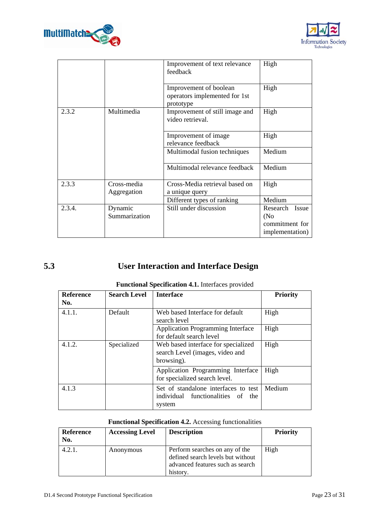



|        |                            | Improvement of text relevance<br>feedback                            | High                                                                  |
|--------|----------------------------|----------------------------------------------------------------------|-----------------------------------------------------------------------|
|        |                            | Improvement of boolean<br>operators implemented for 1st<br>prototype | High                                                                  |
| 2.3.2  | Multimedia                 | Improvement of still image and<br>video retrieval.                   | High                                                                  |
|        |                            | Improvement of image<br>relevance feedback                           | High                                                                  |
|        |                            | Multimodal fusion techniques                                         | Medium                                                                |
|        |                            | Multimodal relevance feedback                                        | Medium                                                                |
| 2.3.3  | Cross-media<br>Aggregation | Cross-Media retrieval based on<br>a unique query                     | High                                                                  |
|        |                            | Different types of ranking                                           | Medium                                                                |
| 2.3.4. | Dynamic<br>Summarization   | Still under discussion                                               | Research<br><b>Issue</b><br>(No)<br>commitment for<br>implementation) |

# **5.3 User Interaction and Interface Design**

| Reference<br>No. | <b>Search Level</b>                                                                                 | <b>Interface</b>                                                                    | <b>Priority</b> |
|------------------|-----------------------------------------------------------------------------------------------------|-------------------------------------------------------------------------------------|-----------------|
| 4.1.1.           | Default                                                                                             | Web based Interface for default<br>search level                                     | High            |
|                  |                                                                                                     | <b>Application Programming Interface</b><br>for default search level                | High            |
| 4.1.2.           | Specialized<br>Web based interface for specialized<br>search Level (images, video and<br>browsing). |                                                                                     | High            |
|                  |                                                                                                     | Application Programming Interface<br>for specialized search level.                  | High            |
| 4.1.3            |                                                                                                     | Set of standalone interfaces to test<br>individual functionalities of the<br>system | Medium          |

## **Functional Specification 4.2.** Accessing functionalities

| <b>Reference</b><br>No. | <b>Accessing Level</b> | <b>Description</b>                                                                                                  | <b>Priority</b> |
|-------------------------|------------------------|---------------------------------------------------------------------------------------------------------------------|-----------------|
| 4.2.1.                  | Anonymous              | Perform searches on any of the<br>defined search levels but without<br>advanced features such as search<br>history. | High            |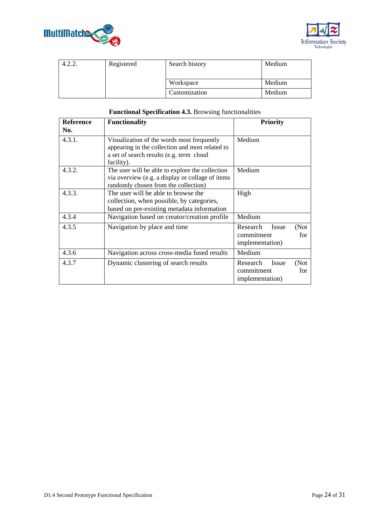



| +.∠.∠. | Registered | Search history | Medium |
|--------|------------|----------------|--------|
|        |            |                |        |
|        |            | Workspace      | Medium |
|        |            | Customization  | Medium |

| <b>Reference</b> | <b>Functionality</b>                                                                                                                                    | <b>Priority</b>                                                   |
|------------------|---------------------------------------------------------------------------------------------------------------------------------------------------------|-------------------------------------------------------------------|
| No.              |                                                                                                                                                         |                                                                   |
| 4.3.1.           | Visualization of the words most frequently<br>appearing in the collection and most related to<br>a set of search results (e.g. term cloud<br>facility). | Medium                                                            |
| 4.3.2.           | The user will be able to explore the collection<br>via overview (e.g. a display or collage of items<br>randomly chosen from the collection)             | Medium                                                            |
| 4.3.3.           | The user will be able to browse the<br>collection, when possible, by categories,<br>based on pre-existing metadata information                          | High                                                              |
| 4.3.4            | Navigation based on creator/creation profile                                                                                                            | Medium                                                            |
| 4.3.5            | Navigation by place and time                                                                                                                            | Research<br>Issue<br>(Not<br>commitment<br>for<br>implementation) |
| 4.3.6            | Navigation across cross-media fused results                                                                                                             | Medium                                                            |
| 4.3.7            | Dynamic clustering of search results                                                                                                                    | Research<br>Issue<br>(Not<br>commitment<br>for<br>implementation) |

#### **Functional Specification 4.3.** Browsing functionalities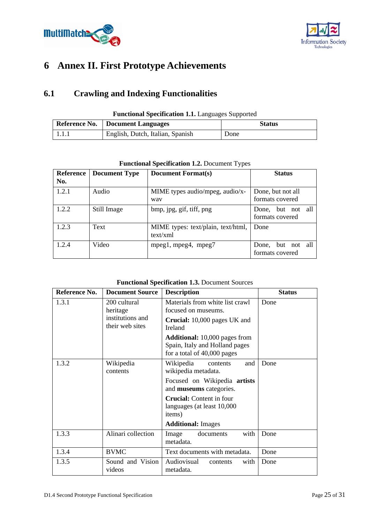



# **6 Annex II. First Prototype Achievements**

## **6.1 Crawling and Indexing Functionalities**

| <b>Functional Specification 1.1.</b> Languages Supported |                                    |               |  |
|----------------------------------------------------------|------------------------------------|---------------|--|
|                                                          | Reference No.   Document Languages | <b>Status</b> |  |
| 1.1.1                                                    | English, Dutch, Italian, Spanish   | Done          |  |

| Reference<br>No. | <b>Document Type</b> | <b>Document Format(s)</b>                      | <b>Status</b>                        |
|------------------|----------------------|------------------------------------------------|--------------------------------------|
| 1.2.1            | Audio                | MIME types audio/mpeg, audio/x-<br>way         | Done, but not all<br>formats covered |
| 1.2.2            | Still Image          | bmp, jpg, gif, tiff, png                       | Done, but not all<br>formats covered |
| 1.2.3            | Text                 | MIME types: text/plain, text/html,<br>text/xml | Done                                 |
| 1.2.4            | Video                | mpeg1, mpeg4, mpeg7                            | Done, but not all<br>formats covered |

### **Functional Specification 1.2.** Document Types

#### **Functional Specification 1.3.** Document Sources

| Reference No. | <b>Document Source</b>              | <b>Description</b>                                                                                    | <b>Status</b> |
|---------------|-------------------------------------|-------------------------------------------------------------------------------------------------------|---------------|
| 1.3.1         | 200 cultural<br>heritage            | Materials from white list crawl<br>focused on museums.                                                | Done          |
|               | institutions and<br>their web sites | <b>Crucial:</b> 10,000 pages UK and<br>Ireland                                                        |               |
|               |                                     | <b>Additional:</b> 10,000 pages from<br>Spain, Italy and Holland pages<br>for a total of 40,000 pages |               |
| 1.3.2         | Wikipedia<br>contents               | Wikipedia<br>and<br>contents<br>wikipedia metadata.                                                   | Done          |
|               |                                     | Focused on Wikipedia artists<br>and museums categories.                                               |               |
|               |                                     | <b>Crucial:</b> Content in four<br>languages (at least 10,000<br>items)                               |               |
|               |                                     | <b>Additional: Images</b>                                                                             |               |
| 1.3.3         | Alinari collection                  | with<br>documents<br>Image<br>metadata.                                                               | Done          |
| 1.3.4         | <b>BVMC</b>                         | Text documents with metadata.                                                                         | Done          |
| 1.3.5         | Sound and Vision<br>videos          | Audiovisual<br>with<br>contents<br>metadata.                                                          | Done          |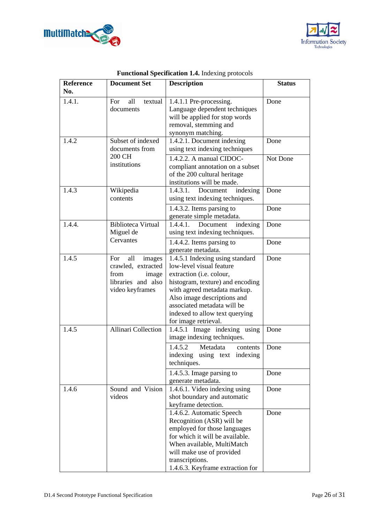



| <b>Reference</b> | <b>Document Set</b>                                                                                  | <b>Description</b>                                                                                                                                                                                                                                                                  | <b>Status</b> |
|------------------|------------------------------------------------------------------------------------------------------|-------------------------------------------------------------------------------------------------------------------------------------------------------------------------------------------------------------------------------------------------------------------------------------|---------------|
| No.              |                                                                                                      |                                                                                                                                                                                                                                                                                     |               |
| 1.4.1.           | all<br>For<br>textual<br>documents                                                                   | 1.4.1.1 Pre-processing.<br>Language dependent techniques<br>will be applied for stop words<br>removal, stemming and<br>synonym matching.                                                                                                                                            | Done          |
| 1.4.2            | Subset of indexed<br>documents from                                                                  | 1.4.2.1. Document indexing<br>using text indexing techniques                                                                                                                                                                                                                        | Done          |
|                  | 200 CH<br>institutions                                                                               | 1.4.2.2. A manual CIDOC-<br>compliant annotation on a subset<br>of the 200 cultural heritage<br>institutions will be made.                                                                                                                                                          | Not Done      |
| 1.4.3            | Wikipedia<br>contents                                                                                | 1.4.3.1.<br>Document<br>indexing<br>using text indexing techniques.                                                                                                                                                                                                                 | Done          |
|                  |                                                                                                      | 1.4.3.2. Items parsing to<br>generate simple metadata.                                                                                                                                                                                                                              | Done          |
| 1.4.4.           | <b>Biblioteca Virtual</b><br>Miguel de                                                               | 1.4.4.1.<br>Document<br>indexing<br>using text indexing techniques.                                                                                                                                                                                                                 | Done          |
|                  | Cervantes                                                                                            | 1.4.4.2. Items parsing to<br>generate metadata.                                                                                                                                                                                                                                     | Done          |
| 1.4.5            | all<br>For<br>images<br>crawled, extracted<br>from<br>image<br>libraries and also<br>video keyframes | 1.4.5.1 Indexing using standard<br>low-level visual feature<br>extraction (i.e. colour,<br>histogram, texture) and encoding<br>with agreed metadata markup.<br>Also image descriptions and<br>associated metadata will be<br>indexed to allow text querying<br>for image retrieval. | Done          |
| 1.4.5            | <b>Allinari Collection</b>                                                                           | 1.4.5.1 Image indexing using<br>image indexing techniques.<br>1.4.5.2<br>Metadata<br>contents                                                                                                                                                                                       | Done<br>Done  |
|                  |                                                                                                      | indexing<br>using text indexing<br>techniques.<br>1.4.5.3. Image parsing to                                                                                                                                                                                                         | Done          |
|                  |                                                                                                      | generate metadata.                                                                                                                                                                                                                                                                  |               |
| 1.4.6            | Sound and Vision<br>videos                                                                           | 1.4.6.1. Video indexing using<br>shot boundary and automatic<br>keyframe detection.                                                                                                                                                                                                 | Done          |
|                  |                                                                                                      | 1.4.6.2. Automatic Speech<br>Recognition (ASR) will be<br>employed for those languages<br>for which it will be available.<br>When available, MultiMatch<br>will make use of provided<br>transcriptions.<br>1.4.6.3. Keyframe extraction for                                         | Done          |

## **Functional Specification 1.4.** Indexing protocols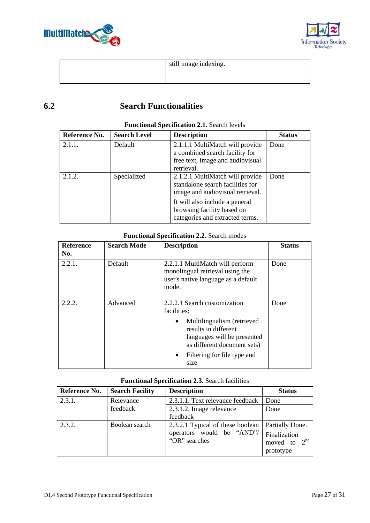



|  | still image indexing. |  |
|--|-----------------------|--|
|  |                       |  |

## **6.2 Search Functionalities**

| Reference No. | <b>Search Level</b> | <b>Description</b>                                                                                                                                                                                         | <b>Status</b> |
|---------------|---------------------|------------------------------------------------------------------------------------------------------------------------------------------------------------------------------------------------------------|---------------|
| 2.1.1.        | Default             | 2.1.1.1 MultiMatch will provide<br>a combined search facility for<br>free text, image and audiovisual<br>retrieval.                                                                                        | Done          |
| 2.1.2.        | Specialized         | 2.1.2.1 MultiMatch will provide<br>standalone search facilities for<br>image and audiovisual retrieval.<br>It will also include a general<br>browsing facility based on<br>categories and extracted terms. | Done          |

#### **Functional Specification 2.1.** Search levels

#### **Functional Specification 2.2.** Search modes

| Reference<br>No. | <b>Search Mode</b> | <b>Description</b>                                                                                                            | <b>Status</b> |
|------------------|--------------------|-------------------------------------------------------------------------------------------------------------------------------|---------------|
| 2.2.1.           | Default            | 2.2.1.1 MultiMatch will perform<br>monolingual retrieval using the<br>user's native language as a default<br>mode.            | Done          |
| 2.2.2.           | Advanced           | 2.2.2.1 Search customization<br>facilities:                                                                                   | Done          |
|                  |                    | Multilingualism (retrieved<br>$\bullet$<br>results in different<br>languages will be presented<br>as different document sets) |               |
|                  |                    | Filtering for file type and<br>$\bullet$<br>size                                                                              |               |

#### **Functional Specification 2.3.** Search facilities

| Reference No. | <b>Search Facility</b> | <b>Description</b>                         | <b>Status</b>                               |
|---------------|------------------------|--------------------------------------------|---------------------------------------------|
| 2.3.1.        | Relevance              | 2.3.1.1. Text relevance feedback           | Done                                        |
|               | feedback               | 2.3.1.2. Image relevance                   | Done                                        |
|               |                        | feedback                                   |                                             |
| 2.3.2.        | Boolean search         | 2.3.2.1 Typical of these boolean           | Partially Done.                             |
|               |                        | operators would be "AND"/<br>"OR" searches | Finalization<br>moved to $2nd$<br>prototype |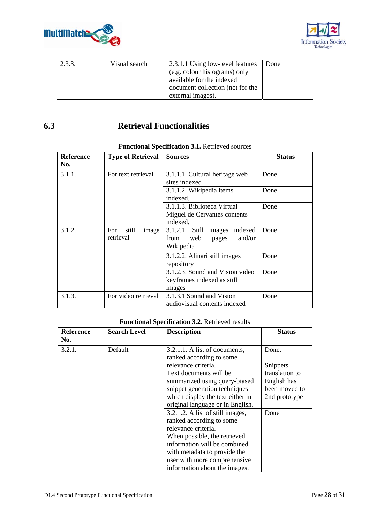



| 2.3.3. | Visual search | 2.3.1.1 Using low-level features | Done |
|--------|---------------|----------------------------------|------|
|        |               | (e.g. colour histograms) only    |      |
|        |               | available for the indexed        |      |
|        |               | document collection (not for the |      |
|        |               | external images).                |      |

## **6.3 Retrieval Functionalities**

| <b>Reference</b> | <b>Type of Retrieval</b> | <b>Sources</b>                  | <b>Status</b> |
|------------------|--------------------------|---------------------------------|---------------|
| No.              |                          |                                 |               |
| 3.1.1.           | For text retrieval       | 3.1.1.1. Cultural heritage web  | Done          |
|                  |                          | sites indexed                   |               |
|                  |                          | 3.1.1.2. Wikipedia items        | Done          |
|                  |                          | indexed.                        |               |
|                  |                          | 3.1.1.3. Biblioteca Virtual     | Done          |
|                  |                          | Miguel de Cervantes contents    |               |
|                  |                          | indexed.                        |               |
| 3.1.2.           | For<br>still<br>image    | 3.1.2.1. Still images indexed   | Done          |
|                  | retrieval                | and/or<br>from<br>web<br>pages  |               |
|                  |                          | Wikipedia                       |               |
|                  |                          | 3.1.2.2. Alinari still images   | Done          |
|                  |                          | repository                      |               |
|                  |                          | 3.1.2.3. Sound and Vision video | Done          |
|                  |                          | keyframes indexed as still      |               |
|                  |                          | images                          |               |
| 3.1.3.           | For video retrieval      | 3.1.3.1 Sound and Vision        | Done          |
|                  |                          | audiovisual contents indexed    |               |

### **Functional Specification 3.1.** Retrieved sources

## **Functional Specification 3.2.** Retrieved results

| <b>Reference</b> | <b>Search Level</b> | <b>Description</b>                                                                                                                                                                                                                                                                       | <b>Status</b>                                                                        |
|------------------|---------------------|------------------------------------------------------------------------------------------------------------------------------------------------------------------------------------------------------------------------------------------------------------------------------------------|--------------------------------------------------------------------------------------|
| No.              |                     |                                                                                                                                                                                                                                                                                          |                                                                                      |
| 3.2.1.           | Default             | 3.2.1.1. A list of documents,<br>ranked according to some<br>relevance criteria.<br>Text documents will be<br>summarized using query-biased<br>snippet generation techniques<br>which display the text either in                                                                         | Done.<br>Snippets<br>translation to<br>English has<br>been moved to<br>2nd prototype |
|                  |                     | original language or in English.<br>3.2.1.2. A list of still images,<br>ranked according to some<br>relevance criteria.<br>When possible, the retrieved<br>information will be combined<br>with metadata to provide the<br>user with more comprehensive<br>information about the images. | Done                                                                                 |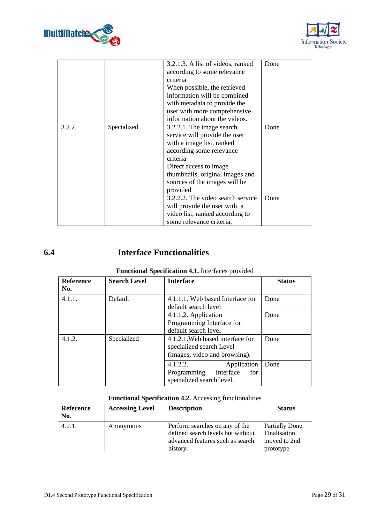



|        |             | 3.2.1.3. A list of videos, ranked<br>according to some relevance<br>criteria<br>When possible, the retrieved<br>information will be combined<br>with metadata to provide the<br>user with more comprehensive<br>information about the videos. | Done |
|--------|-------------|-----------------------------------------------------------------------------------------------------------------------------------------------------------------------------------------------------------------------------------------------|------|
| 3.2.2. | Specialized | 3.2.2.1. The image search<br>service will provide the user<br>with a image list, ranked<br>according some relevance<br>criteria<br>Direct access to image<br>thumbnails, original images and<br>sources of the images will be<br>provided     | Done |
|        |             | 3.2.2.2. The video search service<br>will provide the user with a<br>video list, ranked according to<br>some relevance criteria,                                                                                                              | Done |

## **6.4 Interface Functionalities**

| <b>Reference</b><br>No. | <b>Search Level</b> | <b>Interface</b>                                                                              | <b>Status</b> |
|-------------------------|---------------------|-----------------------------------------------------------------------------------------------|---------------|
| 4.1.1.                  | Default             | 4.1.1.1. Web based Interface for<br>default search level                                      | Done          |
|                         |                     | 4.1.1.2. Application<br>Programming Interface for<br>default search level                     | Done          |
| 4.1.2.                  | Specialized         | 4.1.2.1. Web based interface for<br>specialized search Level<br>(images, video and browsing). | Done          |
|                         |                     | 4.1.2.2.<br>Application<br>Programming<br>Interface<br>for<br>specialized search level.       | Done          |

### **Functional Specification 4.1.** Interfaces provided

#### **Functional Specification 4.2.** Accessing functionalities

| Reference<br>No. | <b>Accessing Level</b> | <b>Description</b>                                                                                                  | <b>Status</b>                                                |
|------------------|------------------------|---------------------------------------------------------------------------------------------------------------------|--------------------------------------------------------------|
| 4.2.1.           | Anonymous              | Perform searches on any of the<br>defined search levels but without<br>advanced features such as search<br>history. | Partially Done.<br>Finalisation<br>moved to 2nd<br>prototype |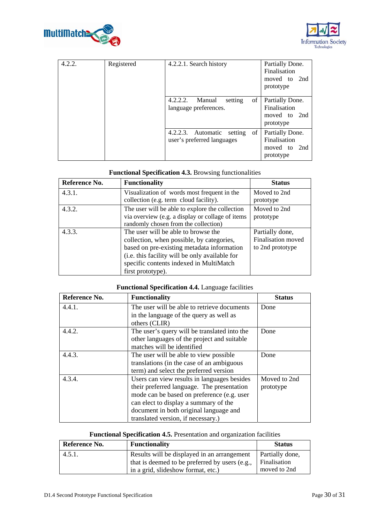



| 4.2.2. | Registered | 4.2.2.1. Search history                                      | Partially Done.<br>Finalisation<br>moved to<br>2nd<br>prototype |
|--------|------------|--------------------------------------------------------------|-----------------------------------------------------------------|
|        |            | of<br>4.2.2.2.<br>Manual<br>setting<br>language preferences. | Partially Done.<br>Finalisation<br>moved to 2nd<br>prototype    |
|        |            | 4.2.2.3. Automatic setting of<br>user's preferred languages  | Partially Done.<br>Finalisation<br>moved to 2nd<br>prototype    |

### **Functional Specification 4.3.** Browsing functionalities

| Reference No. | <b>Functionality</b>                                                                                                                                                                                                                             | <b>Status</b>                                             |
|---------------|--------------------------------------------------------------------------------------------------------------------------------------------------------------------------------------------------------------------------------------------------|-----------------------------------------------------------|
| 4.3.1.        | Visualization of words most frequent in the<br>collection (e.g. term cloud facility).                                                                                                                                                            | Moved to 2nd<br>prototype                                 |
| 4.3.2.        | The user will be able to explore the collection<br>via overview (e.g. a display or collage of items<br>randomly chosen from the collection)                                                                                                      | Moved to 2nd<br>prototype                                 |
| 4.3.3.        | The user will be able to browse the<br>collection, when possible, by categories,<br>based on pre-existing metadata information<br>(i.e. this facility will be only available for<br>specific contents indexed in MultiMatch<br>first prototype). | Partially done,<br>Finalisation moved<br>to 2nd prototype |

## **Functional Specification 4.4.** Language facilities

| Reference No. | <b>Functionality</b>                         | <b>Status</b> |
|---------------|----------------------------------------------|---------------|
| 4.4.1.        | The user will be able to retrieve documents  | Done          |
|               | in the language of the query as well as      |               |
|               | others (CLIR)                                |               |
| 4.4.2.        | The user's query will be translated into the | Done          |
|               | other languages of the project and suitable  |               |
|               | matches will be identified                   |               |
| 4.4.3.        | The user will be able to view possible       | Done          |
|               | translations (in the case of an ambiguous    |               |
|               | term) and select the preferred version       |               |
| 4.3.4.        | Users can view results in languages besides  | Moved to 2nd  |
|               | their preferred language. The presentation   | prototype     |
|               | mode can be based on preference (e.g. user   |               |
|               | can elect to display a summary of the        |               |
|               | document in both original language and       |               |
|               | translated version, if necessary.)           |               |

## **Functional Specification 4.5.** Presentation and organization facilities

| Reference No. | <b>Functionality</b>                                                                          | <b>Status</b>                   |
|---------------|-----------------------------------------------------------------------------------------------|---------------------------------|
| 4.5.1.        | Results will be displayed in an arrangement<br>that is deemed to be preferred by users (e.g., | Partially done,<br>Finalisation |
|               | in a grid, slideshow format, etc.)                                                            | moved to 2nd                    |